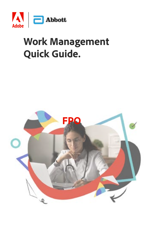

### **Work Management Quick Guide.**

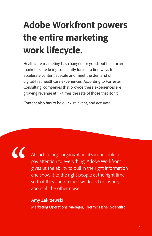### **Adobe Workfront powers the entire marketing work lifecycle.**

Healthcare marketing has changed for good, but healthcare marketers are being constantly forced to find ways to accelerate content at scale and meet the demand of digital-first healthcare experiences. According to Forrester Consulting, companies that provide these experiences are growing revenue at 1.7 times the rate of those that don't.<sup>1</sup>

Content also has to be quick, relevant, and accurate.

 $\cal{C}$ 

At such a large organization, it's impossible to pay attention to everything. Adobe Workfront gives us the ability to pull in the right information and show it to the right people at the right time so that they can do their work and not worry about all the other noise.

#### **Amy Zakrzewski**

Marketing Operations Manager, Thermo Fisher Scientific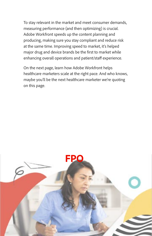To stay relevant in the market and meet consumer demands, measuring performance (and then optimizing) is crucial. Adobe Workfront speeds up the content planning and producing, making sure you stay compliant and reduce risk at the same time. Improving speed to market, it's helped major drug and device brands be the first to market while enhancing overall operations and patient/staff experience.

On the next page, learn how Adobe Workfront helps healthcare marketers scale at the right pace. And who knows, maybe you'll be the next healthcare marketer we're quoting on this page.

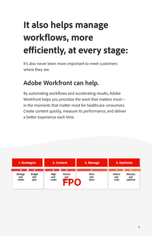# **It also helps manage workflows, more efficiently, at every stage:**

It's also never been more important to meet customers where they are.

#### **Adobe Workfront can help.**

By automating workflows and accelerating results, Adobe Workfront helps you prioritize the work that matters most in the moments that matter most for healthcare consumers. Create content quickly, measure its performance, and deliver a better experience each time.

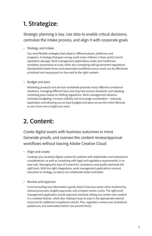#### **1. Strategize:**

Strategic planning is key. Use data to enable critical decisions, centralize the intake process, and align it with corporate goals.

• Strategy and intake:

You need flexible strategies that adapt to different places, platforms, and programs. A strategy that goes wrong could mean millions in fines and/or brand reputation damage. Work management applications make sure healthcare marketers personalize at scale, while also complying with government regulations. Standardized intake forms and automated workflows ensure work can be effectively prioritized and repurposed on time and to the right markets.

• Budget and plan:

Marketing products and services worldwide presents many different compliance situations, managing different laws, learning new privacy standards, and adapting marketing plans based on shifting regulations. Work management solutions centralize budgeting, increase visibility and encourage coordination—reducing duplication and allowing you to track budgets and plans across the entire lifecycle, so you have every insight you need.

#### **2. Content:**

Create digital assets with business outcomes in mind. Generate proofs, and oversee the content review/approval workflows without leaving Adobe Creative Cloud.

• Align and create:

Creating new, localized digital content for patients with stakeholder and institutional considerations, as well as complying with legal and regulatory requirements, is no easy task. Managing this type of content for consistency and quality demands the right tools. With the right integrations, work management applications connect execution to strategy, so teams can collaborate better and faster.

• Review and approve:

Communicating new information quickly doesn't become easier when hindered by manual processes, lengthy approvals, and complex review cycles. The right work management application avoids approval-overload, letting you review new content in a modular fashion, while also making it easy to loop in the appropriate internal resources for additional compliance checks. Plus, regulatory reviews are centralized, spelled out, and automated (which can prevent fines).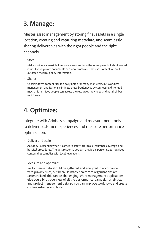#### **3. Manage:**

Master asset management by storing final assets in a single location, creating and capturing metadata, and seamlessly sharing deliverables with the right people and the right channels.

• Store:

Make it widely accessible to ensure everyone is on the same page, but also to avoid issues like duplicate documents or a new employee that uses content without outdated medical policy information.

• Share:

Chasing down content files is a daily battle for many marketers, but workflow management applications eliminate these bottlenecks by connecting disjointed mechanisms. Now, people can access the resources they need and put their best foot forward.

#### **4. Optimize:**

Integrate with Adobe's campaign and measurement tools to deliver customer experiences and measure performance optimization.

• Deliver and scale:

Accuracy is essential when it comes to safety protocols, insurance coverage, and hospital procedures. The best response you can provide is personalized, localized content that complies with local regulations.

• Measure and optimize:

Performance data should be gathered and analyzed in accordance with privacy rules, but because many healthcare organizations are decentralized, this can be challenging. Work management applications give you a birds-eye-view of all the performance, campaign analytics, and project management data, so you can improve workflows and create content—better and faster.